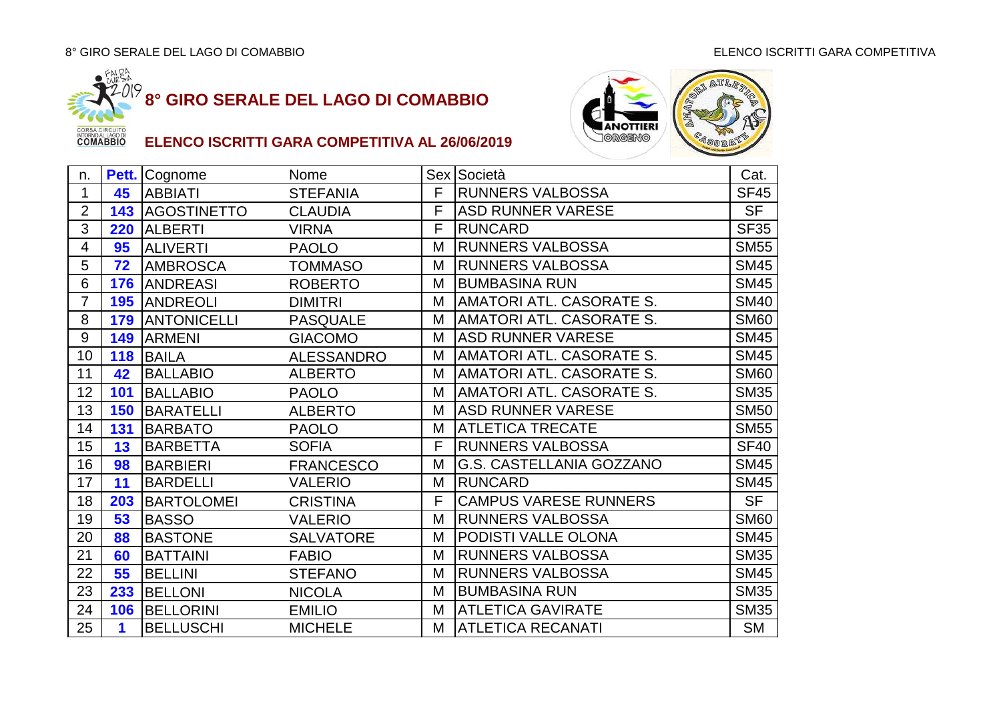



| n.             |     | Pett. Cognome          | Nome              |   | Sex Società                     | Cat.        |
|----------------|-----|------------------------|-------------------|---|---------------------------------|-------------|
| 1              | 45  | <b>ABBIATI</b>         | <b>STEFANIA</b>   | F | <b>RUNNERS VALBOSSA</b>         | <b>SF45</b> |
| $\overline{2}$ |     | <b>143 AGOSTINETTO</b> | <b>CLAUDIA</b>    | F | <b>ASD RUNNER VARESE</b>        | <b>SF</b>   |
| 3              | 220 | <b>ALBERTI</b>         | <b>VIRNA</b>      | F | <b>RUNCARD</b>                  | <b>SF35</b> |
| 4              | 95  | <b>ALIVERTI</b>        | <b>PAOLO</b>      | М | <b>RUNNERS VALBOSSA</b>         | <b>SM55</b> |
| 5              | 72  | <b>AMBROSCA</b>        | <b>TOMMASO</b>    | M | <b>RUNNERS VALBOSSA</b>         | <b>SM45</b> |
| 6              | 176 | <b>ANDREASI</b>        | <b>ROBERTO</b>    | M | <b>BUMBASINA RUN</b>            | <b>SM45</b> |
| $\overline{7}$ | 195 | <b>ANDREOLI</b>        | <b>DIMITRI</b>    | M | <b>AMATORI ATL. CASORATE S.</b> | <b>SM40</b> |
| 8              | 179 | <b>ANTONICELLI</b>     | <b>PASQUALE</b>   | М | AMATORI ATL. CASORATE S.        | <b>SM60</b> |
| 9              | 149 | <b>ARMENI</b>          | <b>GIACOMO</b>    | M | <b>ASD RUNNER VARESE</b>        | <b>SM45</b> |
| 10             | 118 | <b>BAILA</b>           | <b>ALESSANDRO</b> | М | AMATORI ATL. CASORATE S.        | <b>SM45</b> |
| 11             | 42  | <b>BALLABIO</b>        | <b>ALBERTO</b>    | M | AMATORI ATL. CASORATE S.        | <b>SM60</b> |
| 12             | 101 | <b>BALLABIO</b>        | <b>PAOLO</b>      | M | <b>AMATORI ATL. CASORATE S.</b> | <b>SM35</b> |
| 13             | 150 | <b>BARATELLI</b>       | <b>ALBERTO</b>    | Μ | <b>ASD RUNNER VARESE</b>        | <b>SM50</b> |
| 14             | 131 | <b>BARBATO</b>         | <b>PAOLO</b>      | M | <b>ATLETICA TRECATE</b>         | <b>SM55</b> |
| 15             | 13  | <b>BARBETTA</b>        | <b>SOFIA</b>      | F | <b>RUNNERS VALBOSSA</b>         | <b>SF40</b> |
| 16             | 98  | <b>BARBIERI</b>        | <b>FRANCESCO</b>  | M | G.S. CASTELLANIA GOZZANO        | SM45        |
| 17             | 11  | <b>BARDELLI</b>        | <b>VALERIO</b>    | M | <b>RUNCARD</b>                  | <b>SM45</b> |
| 18             | 203 | <b>BARTOLOMEI</b>      | <b>CRISTINA</b>   | F | <b>CAMPUS VARESE RUNNERS</b>    | <b>SF</b>   |
| 19             | 53  | <b>BASSO</b>           | <b>VALERIO</b>    | M | <b>RUNNERS VALBOSSA</b>         | <b>SM60</b> |
| 20             | 88  | <b>BASTONE</b>         | <b>SALVATORE</b>  | M | PODISTI VALLE OLONA             | <b>SM45</b> |
| 21             | 60  | <b>BATTAINI</b>        | <b>FABIO</b>      | M | <b>RUNNERS VALBOSSA</b>         | <b>SM35</b> |
| 22             | 55  | <b>BELLINI</b>         | <b>STEFANO</b>    | М | <b>RUNNERS VALBOSSA</b>         | <b>SM45</b> |
| 23             | 233 | <b>BELLONI</b>         | <b>NICOLA</b>     | M | <b>BUMBASINA RUN</b>            | <b>SM35</b> |
| 24             | 106 | <b>BELLORINI</b>       | <b>EMILIO</b>     | M | <b>ATLETICA GAVIRATE</b>        | <b>SM35</b> |
| 25             | 1   | <b>BELLUSCHI</b>       | <b>MICHELE</b>    | Μ | <b>ATLETICA RECANATI</b>        | <b>SM</b>   |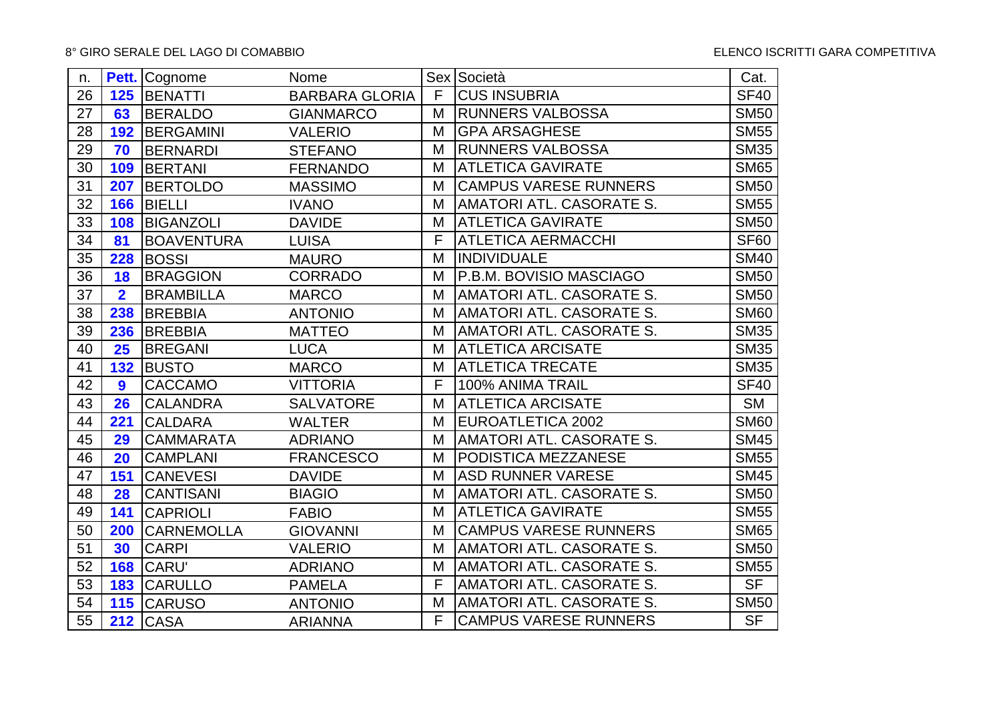| n. |                | <b>Pett.</b> Cognome | Nome                  |   | Sex Società                     | Cat.           |
|----|----------------|----------------------|-----------------------|---|---------------------------------|----------------|
| 26 |                | 125 BENATTI          | <b>BARBARA GLORIA</b> | F | <b>CUS INSUBRIA</b>             | <b>SF40</b>    |
| 27 | 63             | <b>BERALDO</b>       | <b>GIANMARCO</b>      | M | <b>RUNNERS VALBOSSA</b>         | <b>SM50</b>    |
| 28 | 192            | <b>BERGAMINI</b>     | <b>VALERIO</b>        | M | <b>GPA ARSAGHESE</b>            | <b>SM55</b>    |
| 29 | 70             | <b>BERNARDI</b>      | <b>STEFANO</b>        | M | <b>RUNNERS VALBOSSA</b>         | <b>SM35</b>    |
| 30 | 109            | <b>BERTANI</b>       | <b>FERNANDO</b>       | M | <b>ATLETICA GAVIRATE</b>        | <b>SM65</b>    |
| 31 | 207            | <b>BERTOLDO</b>      | <b>MASSIMO</b>        | M | <b>CAMPUS VARESE RUNNERS</b>    | <b>SM50</b>    |
| 32 | 166            | <b>BIELLI</b>        | <b>IVANO</b>          | M | AMATORI ATL. CASORATE S.        | <b>SM55</b>    |
| 33 | 108            | <b>BIGANZOLI</b>     | <b>DAVIDE</b>         | M | <b>ATLETICA GAVIRATE</b>        | <b>SM50</b>    |
| 34 | 81             | <b>BOAVENTURA</b>    | <b>LUISA</b>          | F | <b>ATLETICA AERMACCHI</b>       | <b>SF60</b>    |
| 35 | 228            | <b>BOSSI</b>         | <b>MAURO</b>          | M | <b>INDIVIDUALE</b>              | <b>SM40</b>    |
| 36 | 18             | <b>BRAGGION</b>      | <b>CORRADO</b>        | M | P.B.M. BOVISIO MASCIAGO         | <b>SM50</b>    |
| 37 | $\overline{2}$ | <b>BRAMBILLA</b>     | <b>MARCO</b>          | M | AMATORI ATL. CASORATE S.        | <b>SM50</b>    |
| 38 | 238            | <b>BREBBIA</b>       | <b>ANTONIO</b>        | M | AMATORI ATL. CASORATE S.        | <b>SM60</b>    |
| 39 | 236            | <b>BREBBIA</b>       | <b>MATTEO</b>         | M | AMATORI ATL. CASORATE S.        | <b>SM35</b>    |
| 40 | 25             | <b>BREGANI</b>       | <b>LUCA</b>           | M | <b>ATLETICA ARCISATE</b>        | <b>SM35</b>    |
| 41 | 132            | <b>BUSTO</b>         | <b>MARCO</b>          | M | <b>ATLETICA TRECATE</b>         | <b>SM35</b>    |
| 42 | 9              | <b>CACCAMO</b>       | <b>VITTORIA</b>       | F | 100% ANIMA TRAIL                | <b>SF40</b>    |
| 43 | 26             | <b>CALANDRA</b>      | <b>SALVATORE</b>      | M | <b>ATLETICA ARCISATE</b>        | <b>SM</b>      |
| 44 | 221            | <b>CALDARA</b>       | <b>WALTER</b>         | M | <b>EUROATLETICA 2002</b>        | <b>SM60</b>    |
| 45 | 29             | <b>CAMMARATA</b>     | <b>ADRIANO</b>        | M | AMATORI ATL. CASORATE S.        | <b>SM45</b>    |
| 46 | 20             | <b>CAMPLANI</b>      | <b>FRANCESCO</b>      | M | PODISTICA MEZZANESE             | <b>SM55</b>    |
| 47 | 151            | <b>CANEVESI</b>      | <b>DAVIDE</b>         | M | <b>ASD RUNNER VARESE</b>        | <b>SM45</b>    |
| 48 | 28             | <b>CANTISANI</b>     | <b>BIAGIO</b>         | M | AMATORI ATL. CASORATE S.        | <b>SM50</b>    |
| 49 | 141            | <b>CAPRIOLI</b>      | <b>FABIO</b>          | M | <b>ATLETICA GAVIRATE</b>        | <b>SM55</b>    |
| 50 | 200            | <b>CARNEMOLLA</b>    | <b>GIOVANNI</b>       | M | <b>CAMPUS VARESE RUNNERS</b>    | <b>SM65</b>    |
| 51 | 30             | <b>CARPI</b>         | <b>VALERIO</b>        | M | AMATORI ATL. CASORATE S.        | <b>SM50</b>    |
| 52 | 168            | <b>CARU'</b>         | <b>ADRIANO</b>        | M | AMATORI ATL. CASORATE S.        | <b>SM55</b>    |
| 53 | 183            | <b>CARULLO</b>       | <b>PAMELA</b>         | F | <b>AMATORI ATL. CASORATE S.</b> | <b>SF</b>      |
| 54 | 115            | <b>CARUSO</b>        | <b>ANTONIO</b>        | M | AMATORI ATL. CASORATE S.        | <b>SM50</b>    |
| 55 |                | <b>212 CASA</b>      | <b>ARIANNA</b>        | F | <b>CAMPUS VARESE RUNNERS</b>    | S <sub>F</sub> |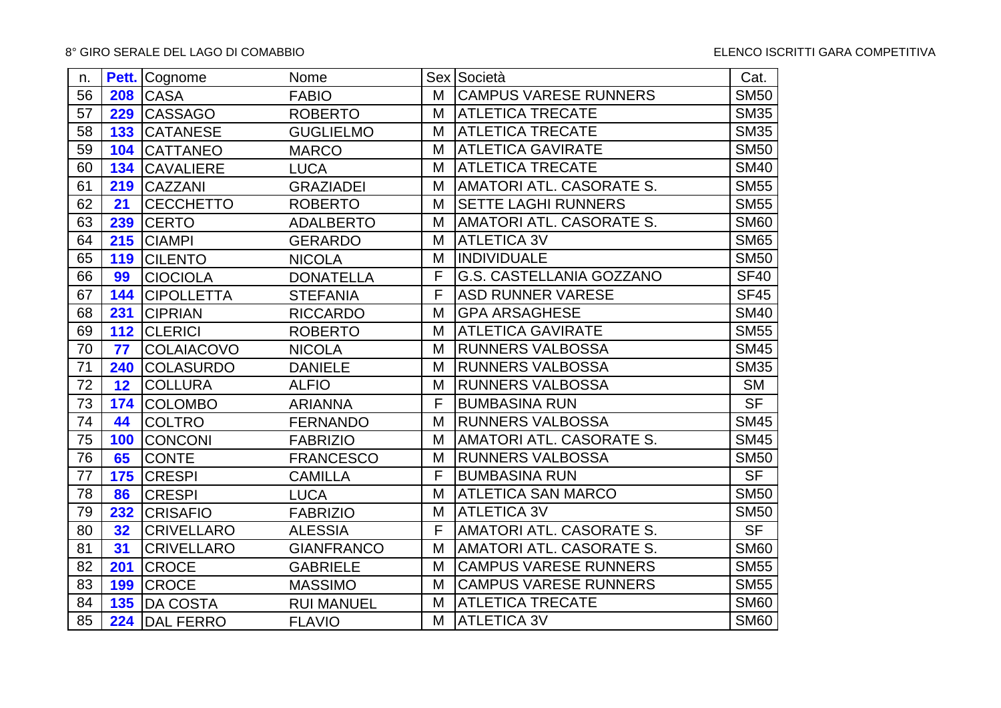| n. |     | <b>Pett.</b> Cognome | Nome              |   | Sex Società                  | Cat.        |
|----|-----|----------------------|-------------------|---|------------------------------|-------------|
| 56 |     | <b>208 CASA</b>      | <b>FABIO</b>      | M | <b>CAMPUS VARESE RUNNERS</b> | <b>SM50</b> |
| 57 | 229 | <b>CASSAGO</b>       | <b>ROBERTO</b>    | M | <b>ATLETICA TRECATE</b>      | <b>SM35</b> |
| 58 | 133 | <b>CATANESE</b>      | <b>GUGLIELMO</b>  | M | <b>ATLETICA TRECATE</b>      | <b>SM35</b> |
| 59 | 104 | <b>CATTANEO</b>      | <b>MARCO</b>      | M | <b>ATLETICA GAVIRATE</b>     | <b>SM50</b> |
| 60 | 134 | <b>CAVALIERE</b>     | <b>LUCA</b>       | M | <b>ATLETICA TRECATE</b>      | <b>SM40</b> |
| 61 | 219 | <b>CAZZANI</b>       | <b>GRAZIADEI</b>  | M | AMATORI ATL. CASORATE S.     | <b>SM55</b> |
| 62 | 21  | <b>CECCHETTO</b>     | <b>ROBERTO</b>    | M | <b>SETTE LAGHI RUNNERS</b>   | <b>SM55</b> |
| 63 | 239 | <b>CERTO</b>         | <b>ADALBERTO</b>  | M | AMATORI ATL. CASORATE S.     | <b>SM60</b> |
| 64 | 215 | <b>CIAMPI</b>        | <b>GERARDO</b>    | M | <b>ATLETICA 3V</b>           | <b>SM65</b> |
| 65 | 119 | <b>CILENTO</b>       | <b>NICOLA</b>     | M | <b>INDIVIDUALE</b>           | <b>SM50</b> |
| 66 | 99  | <b>CIOCIOLA</b>      | <b>DONATELLA</b>  | F | G.S. CASTELLANIA GOZZANO     | <b>SF40</b> |
| 67 | 144 | <b>CIPOLLETTA</b>    | <b>STEFANIA</b>   | F | <b>ASD RUNNER VARESE</b>     | <b>SF45</b> |
| 68 | 231 | <b>CIPRIAN</b>       | <b>RICCARDO</b>   | M | <b>GPA ARSAGHESE</b>         | <b>SM40</b> |
| 69 | 112 | <b>CLERICI</b>       | <b>ROBERTO</b>    | M | <b>ATLETICA GAVIRATE</b>     | <b>SM55</b> |
| 70 | 77  | <b>COLAIACOVO</b>    | <b>NICOLA</b>     | M | <b>RUNNERS VALBOSSA</b>      | <b>SM45</b> |
| 71 | 240 | <b>COLASURDO</b>     | <b>DANIELE</b>    | M | <b>RUNNERS VALBOSSA</b>      | <b>SM35</b> |
| 72 | 12  | <b>COLLURA</b>       | <b>ALFIO</b>      | M | <b>RUNNERS VALBOSSA</b>      | <b>SM</b>   |
| 73 | 174 | <b>COLOMBO</b>       | <b>ARIANNA</b>    | F | <b>BUMBASINA RUN</b>         | <b>SF</b>   |
| 74 | 44  | <b>COLTRO</b>        | <b>FERNANDO</b>   | M | <b>RUNNERS VALBOSSA</b>      | <b>SM45</b> |
| 75 | 100 | CONCONI              | <b>FABRIZIO</b>   | M | AMATORI ATL. CASORATE S.     | <b>SM45</b> |
| 76 | 65  | <b>CONTE</b>         | <b>FRANCESCO</b>  | M | <b>RUNNERS VALBOSSA</b>      | <b>SM50</b> |
| 77 | 175 | <b>CRESPI</b>        | <b>CAMILLA</b>    | F | <b>BUMBASINA RUN</b>         | <b>SF</b>   |
| 78 | 86  | <b>CRESPI</b>        | <b>LUCA</b>       | M | <b>ATLETICA SAN MARCO</b>    | <b>SM50</b> |
| 79 | 232 | <b>CRISAFIO</b>      | <b>FABRIZIO</b>   | M | <b>ATLETICA 3V</b>           | <b>SM50</b> |
| 80 | 32  | <b>CRIVELLARO</b>    | <b>ALESSIA</b>    | F | AMATORI ATL. CASORATE S.     | <b>SF</b>   |
| 81 | 31  | <b>CRIVELLARO</b>    | <b>GIANFRANCO</b> | M | AMATORI ATL. CASORATE S.     | <b>SM60</b> |
| 82 | 201 | <b>CROCE</b>         | <b>GABRIELE</b>   | M | <b>CAMPUS VARESE RUNNERS</b> | <b>SM55</b> |
| 83 | 199 | <b>CROCE</b>         | <b>MASSIMO</b>    | M | <b>CAMPUS VARESE RUNNERS</b> | <b>SM55</b> |
| 84 | 135 | <b>DA COSTA</b>      | <b>RUI MANUEL</b> | M | <b>ATLETICA TRECATE</b>      | <b>SM60</b> |
| 85 |     | 224 DAL FERRO        | <b>FLAVIO</b>     | M | <b>ATLETICA 3V</b>           | <b>SM60</b> |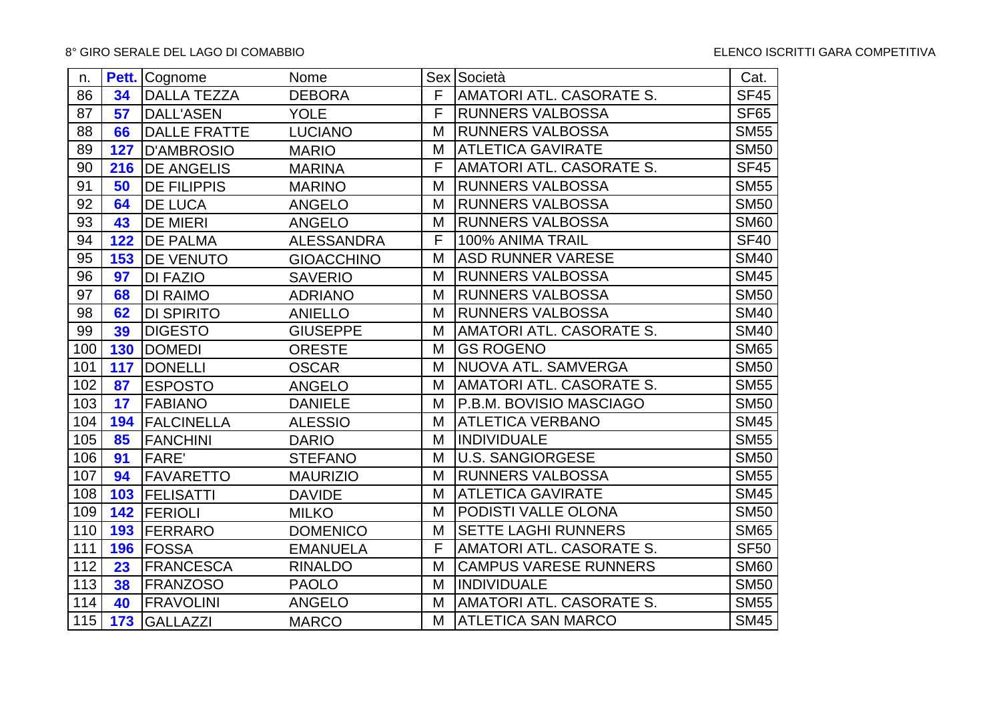| n.  |     | <b>Pett.</b> Cognome | Nome              |   | Sex Società                  | Cat.             |
|-----|-----|----------------------|-------------------|---|------------------------------|------------------|
| 86  | 34  | <b>DALLA TEZZA</b>   | <b>DEBORA</b>     | F | AMATORI ATL. CASORATE S.     | <b>SF45</b>      |
| 87  | 57  | <b>DALL'ASEN</b>     | <b>YOLE</b>       | F | <b>RUNNERS VALBOSSA</b>      | <b>SF65</b>      |
| 88  | 66  | <b>DALLE FRATTE</b>  | <b>LUCIANO</b>    | M | <b>RUNNERS VALBOSSA</b>      | <b>SM55</b>      |
| 89  | 127 | <b>D'AMBROSIO</b>    | <b>MARIO</b>      | M | <b>ATLETICA GAVIRATE</b>     | <b>SM50</b>      |
| 90  | 216 | <b>DE ANGELIS</b>    | <b>MARINA</b>     | F | AMATORI ATL. CASORATE S.     | SF <sub>45</sub> |
| 91  | 50  | <b>DE FILIPPIS</b>   | <b>MARINO</b>     | M | <b>RUNNERS VALBOSSA</b>      | <b>SM55</b>      |
| 92  | 64  | <b>DE LUCA</b>       | <b>ANGELO</b>     | M | <b>RUNNERS VALBOSSA</b>      | <b>SM50</b>      |
| 93  | 43  | <b>DE MIERI</b>      | <b>ANGELO</b>     | M | <b>RUNNERS VALBOSSA</b>      | <b>SM60</b>      |
| 94  | 122 | <b>DE PALMA</b>      | <b>ALESSANDRA</b> | F | 100% ANIMA TRAIL             | <b>SF40</b>      |
| 95  | 153 | <b>IDE VENUTO</b>    | <b>GIOACCHINO</b> | M | <b>ASD RUNNER VARESE</b>     | <b>SM40</b>      |
| 96  | 97  | <b>DI FAZIO</b>      | <b>SAVERIO</b>    | M | <b>RUNNERS VALBOSSA</b>      | <b>SM45</b>      |
| 97  | 68  | <b>DI RAIMO</b>      | <b>ADRIANO</b>    | M | <b>RUNNERS VALBOSSA</b>      | <b>SM50</b>      |
| 98  | 62  | <b>DI SPIRITO</b>    | <b>ANIELLO</b>    | M | <b>RUNNERS VALBOSSA</b>      | <b>SM40</b>      |
| 99  | 39  | <b>DIGESTO</b>       | <b>GIUSEPPE</b>   | M | AMATORI ATL. CASORATE S.     | <b>SM40</b>      |
| 100 | 130 | <b>DOMEDI</b>        | <b>ORESTE</b>     | M | <b>GS ROGENO</b>             | <b>SM65</b>      |
| 101 | 117 | <b>DONELLI</b>       | <b>OSCAR</b>      | M | NUOVA ATL. SAMVERGA          | <b>SM50</b>      |
| 102 | 87  | <b>ESPOSTO</b>       | <b>ANGELO</b>     | M | AMATORI ATL. CASORATE S.     | <b>SM55</b>      |
| 103 | 17  | <b>FABIANO</b>       | <b>DANIELE</b>    | M | P.B.M. BOVISIO MASCIAGO      | <b>SM50</b>      |
| 104 | 194 | <b>FALCINELLA</b>    | <b>ALESSIO</b>    | M | <b>ATLETICA VERBANO</b>      | <b>SM45</b>      |
| 105 | 85  | <b>FANCHINI</b>      | <b>DARIO</b>      | M | <b>INDIVIDUALE</b>           | <b>SM55</b>      |
| 106 | 91  | <b>FARE'</b>         | <b>STEFANO</b>    | M | <b>U.S. SANGIORGESE</b>      | <b>SM50</b>      |
| 107 | 94  | <b>FAVARETTO</b>     | <b>MAURIZIO</b>   | M | <b>RUNNERS VALBOSSA</b>      | <b>SM55</b>      |
| 108 | 103 | <b>FELISATTI</b>     | <b>DAVIDE</b>     | M | <b>ATLETICA GAVIRATE</b>     | <b>SM45</b>      |
| 109 | 142 | <b>FERIOLI</b>       | <b>MILKO</b>      | M | PODISTI VALLE OLONA          | <b>SM50</b>      |
| 110 | 193 | <b>FERRARO</b>       | <b>DOMENICO</b>   | M | <b>SETTE LAGHI RUNNERS</b>   | <b>SM65</b>      |
| 111 | 196 | <b>FOSSA</b>         | <b>EMANUELA</b>   | F | AMATORI ATL. CASORATE S.     | <b>SF50</b>      |
| 112 | 23  | <b>FRANCESCA</b>     | <b>RINALDO</b>    | M | <b>CAMPUS VARESE RUNNERS</b> | <b>SM60</b>      |
| 113 | 38  | <b>FRANZOSO</b>      | <b>PAOLO</b>      | M | <b>INDIVIDUALE</b>           | <b>SM50</b>      |
| 114 | 40  | <b>FRAVOLINI</b>     | <b>ANGELO</b>     | M | AMATORI ATL. CASORATE S.     | <b>SM55</b>      |
| 115 | 173 | <b>GALLAZZI</b>      | <b>MARCO</b>      | M | <b>ATLETICA SAN MARCO</b>    | SM45             |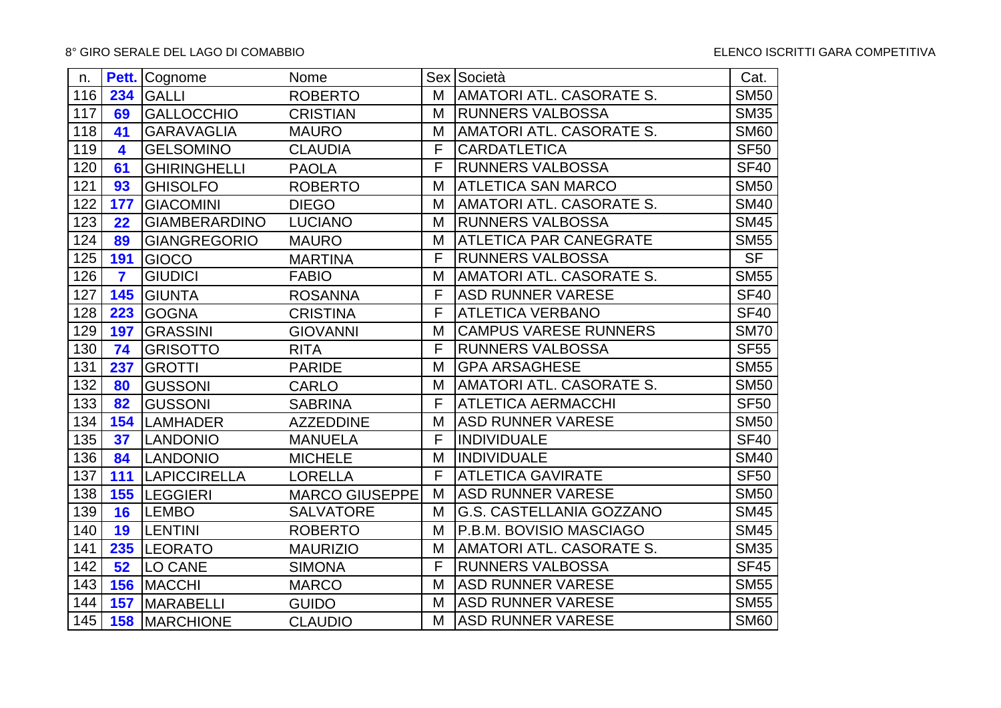| n.  |                         | Pett. Cognome         | Nome                  |   | Sex Società                     | Cat.        |
|-----|-------------------------|-----------------------|-----------------------|---|---------------------------------|-------------|
| 116 | 234                     | <b>GALLI</b>          | <b>ROBERTO</b>        | M | <b>AMATORI ATL. CASORATE S.</b> | <b>SM50</b> |
| 117 | 69                      | <b>GALLOCCHIO</b>     | <b>CRISTIAN</b>       | M | <b>RUNNERS VALBOSSA</b>         | <b>SM35</b> |
| 118 | 41                      | <b>GARAVAGLIA</b>     | <b>MAURO</b>          | M | AMATORI ATL. CASORATE S.        | <b>SM60</b> |
| 119 | 4                       | <b>GELSOMINO</b>      | <b>CLAUDIA</b>        | F | <b>CARDATLETICA</b>             | <b>SF50</b> |
| 120 | 61                      | <b>GHIRINGHELLI</b>   | <b>PAOLA</b>          | F | <b>RUNNERS VALBOSSA</b>         | <b>SF40</b> |
| 121 | 93                      | <b>GHISOLFO</b>       | <b>ROBERTO</b>        | M | <b>ATLETICA SAN MARCO</b>       | <b>SM50</b> |
| 122 | 177                     | <b>GIACOMINI</b>      | <b>DIEGO</b>          | M | <b>AMATORI ATL. CASORATE S.</b> | <b>SM40</b> |
| 123 | 22                      | <b>GIAMBERARDINO</b>  | <b>LUCIANO</b>        | M | <b>RUNNERS VALBOSSA</b>         | <b>SM45</b> |
| 124 | 89                      | <b>GIANGREGORIO</b>   | <b>MAURO</b>          | M | <b>ATLETICA PAR CANEGRATE</b>   | <b>SM55</b> |
| 125 | 191                     | <b>GIOCO</b>          | <b>MARTINA</b>        | F | <b>RUNNERS VALBOSSA</b>         | <b>SF</b>   |
| 126 | $\overline{\mathbf{z}}$ | <b>GIUDICI</b>        | <b>FABIO</b>          | M | AMATORI ATL. CASORATE S.        | <b>SM55</b> |
| 127 | 145                     | <b>GIUNTA</b>         | <b>ROSANNA</b>        | F | <b>ASD RUNNER VARESE</b>        | <b>SF40</b> |
| 128 | 223                     | <b>GOGNA</b>          | <b>CRISTINA</b>       | F | <b>ATLETICA VERBANO</b>         | <b>SF40</b> |
| 129 | 197                     | <b>GRASSINI</b>       | <b>GIOVANNI</b>       | M | <b>CAMPUS VARESE RUNNERS</b>    | <b>SM70</b> |
| 130 | 74                      | <b>GRISOTTO</b>       | <b>RITA</b>           | F | <b>RUNNERS VALBOSSA</b>         | <b>SF55</b> |
| 131 | 237                     | <b>GROTTI</b>         | <b>PARIDE</b>         | M | <b>GPA ARSAGHESE</b>            | <b>SM55</b> |
| 132 | 80                      | <b>GUSSONI</b>        | <b>CARLO</b>          | M | AMATORI ATL. CASORATE S.        | <b>SM50</b> |
| 133 | 82                      | <b>GUSSONI</b>        | <b>SABRINA</b>        | F | <b>ATLETICA AERMACCHI</b>       | <b>SF50</b> |
| 134 | 154                     | <b>LAMHADER</b>       | <b>AZZEDDINE</b>      | M | <b>ASD RUNNER VARESE</b>        | <b>SM50</b> |
| 135 | 37                      | <b>LANDONIO</b>       | <b>MANUELA</b>        | F | <b>INDIVIDUALE</b>              | <b>SF40</b> |
| 136 | 84                      | <b>LANDONIO</b>       | <b>MICHELE</b>        | M | <b>INDIVIDUALE</b>              | <b>SM40</b> |
| 137 | 111                     | <b>LAPICCIRELLA</b>   | <b>LORELLA</b>        | F | <b>ATLETICA GAVIRATE</b>        | <b>SF50</b> |
| 138 |                         | 155  LEGGIERI         | <b>MARCO GIUSEPPE</b> | M | <b>ASD RUNNER VARESE</b>        | <b>SM50</b> |
| 139 | 16                      | <b>LEMBO</b>          | <b>SALVATORE</b>      | M | <b>G.S. CASTELLANIA GOZZANO</b> | <b>SM45</b> |
| 140 | 19                      | <b>LENTINI</b>        | <b>ROBERTO</b>        | M | P.B.M. BOVISIO MASCIAGO         | <b>SM45</b> |
| 141 | 235                     | <b>LEORATO</b>        | <b>MAURIZIO</b>       | M | AMATORI ATL. CASORATE S.        | <b>SM35</b> |
| 142 | 52                      | <b>LO CANE</b>        | <b>SIMONA</b>         | F | <b>RUNNERS VALBOSSA</b>         | <b>SF45</b> |
| 143 |                         | 156   MACCHI          | <b>MARCO</b>          | M | <b>ASD RUNNER VARESE</b>        | <b>SM55</b> |
| 144 | 157                     | <b>MARABELLI</b>      | <b>GUIDO</b>          | M | <b>ASD RUNNER VARESE</b>        | <b>SM55</b> |
| 145 |                         | <b>158 IMARCHIONE</b> | <b>CLAUDIO</b>        | M | <b>ASD RUNNER VARESE</b>        | <b>SM60</b> |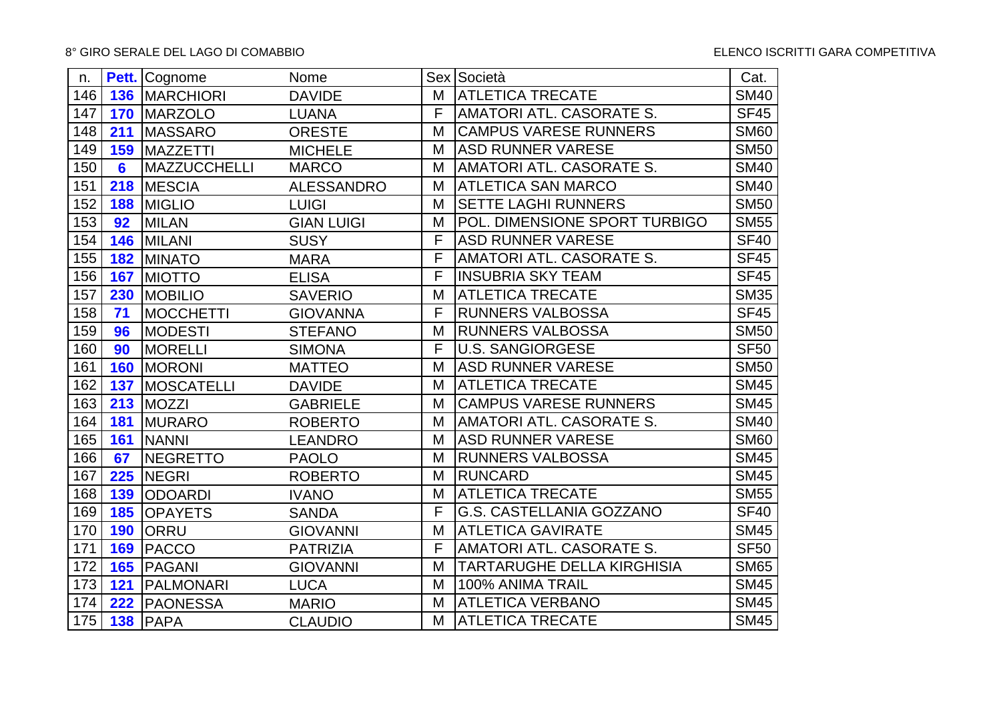| n.  |     | Pett. Cognome          | Nome              |   | Sex Società                       | Cat.        |
|-----|-----|------------------------|-------------------|---|-----------------------------------|-------------|
| 146 |     | <b>136   MARCHIORI</b> | <b>DAVIDE</b>     | M | <b>ATLETICA TRECATE</b>           | <b>SM40</b> |
| 147 | 170 | <b>MARZOLO</b>         | <b>LUANA</b>      | F | <b>AMATORI ATL. CASORATE S.</b>   | <b>SF45</b> |
| 148 | 211 | <b>MASSARO</b>         | <b>ORESTE</b>     | M | <b>CAMPUS VARESE RUNNERS</b>      | <b>SM60</b> |
| 149 | 159 | <b>MAZZETTI</b>        | <b>MICHELE</b>    | M | <b>ASD RUNNER VARESE</b>          | <b>SM50</b> |
| 150 | 6   | <b>MAZZUCCHELLI</b>    | <b>MARCO</b>      | M | <b>AMATORI ATL. CASORATE S.</b>   | <b>SM40</b> |
| 151 | 218 | <b>MESCIA</b>          | <b>ALESSANDRO</b> | M | <b>ATLETICA SAN MARCO</b>         | <b>SM40</b> |
| 152 | 188 | <b>MIGLIO</b>          | <b>LUIGI</b>      | M | <b>SETTE LAGHI RUNNERS</b>        | <b>SM50</b> |
| 153 | 92  | <b>MILAN</b>           | <b>GIAN LUIGI</b> | M | POL. DIMENSIONE SPORT TURBIGO     | <b>SM55</b> |
| 154 | 146 | MILANI                 | <b>SUSY</b>       | F | <b>ASD RUNNER VARESE</b>          | <b>SF40</b> |
| 155 | 182 | <b>MINATO</b>          | <b>MARA</b>       | F | <b>AMATORI ATL. CASORATE S.</b>   | <b>SF45</b> |
| 156 | 167 | <b>MIOTTO</b>          | <b>ELISA</b>      | F | <b>INSUBRIA SKY TEAM</b>          | <b>SF45</b> |
| 157 | 230 | <b>MOBILIO</b>         | <b>SAVERIO</b>    | M | <b>ATLETICA TRECATE</b>           | <b>SM35</b> |
| 158 | 71  | <b>MOCCHETTI</b>       | <b>GIOVANNA</b>   | F | <b>RUNNERS VALBOSSA</b>           | <b>SF45</b> |
| 159 | 96  | <b>MODESTI</b>         | <b>STEFANO</b>    | M | <b>RUNNERS VALBOSSA</b>           | <b>SM50</b> |
| 160 | 90  | <b>MORELLI</b>         | <b>SIMONA</b>     | F | <b>U.S. SANGIORGESE</b>           | <b>SF50</b> |
| 161 | 160 | <b>MORONI</b>          | <b>MATTEO</b>     | M | <b>ASD RUNNER VARESE</b>          | <b>SM50</b> |
| 162 | 137 | <b>MOSCATELLI</b>      | <b>DAVIDE</b>     | M | <b>ATLETICA TRECATE</b>           | <b>SM45</b> |
| 163 | 213 | <b>MOZZI</b>           | <b>GABRIELE</b>   | M | <b>CAMPUS VARESE RUNNERS</b>      | <b>SM45</b> |
| 164 | 181 | <b>MURARO</b>          | <b>ROBERTO</b>    | M | AMATORI ATL. CASORATE S.          | <b>SM40</b> |
| 165 | 161 | <b>NANNI</b>           | <b>LEANDRO</b>    | M | <b>ASD RUNNER VARESE</b>          | <b>SM60</b> |
| 166 | 67  | NEGRETTO               | <b>PAOLO</b>      | M | <b>RUNNERS VALBOSSA</b>           | <b>SM45</b> |
| 167 | 225 | <b>NEGRI</b>           | <b>ROBERTO</b>    | M | <b>RUNCARD</b>                    | <b>SM45</b> |
| 168 | 139 | <b>ODOARDI</b>         | <b>IVANO</b>      | M | <b>ATLETICA TRECATE</b>           | <b>SM55</b> |
| 169 | 185 | <b>OPAYETS</b>         | <b>SANDA</b>      | F | <b>G.S. CASTELLANIA GOZZANO</b>   | <b>SF40</b> |
| 170 | 190 | <b>ORRU</b>            | <b>GIOVANNI</b>   | M | <b>ATLETICA GAVIRATE</b>          | <b>SM45</b> |
| 171 | 169 | PACCO                  | <b>PATRIZIA</b>   | F | AMATORI ATL. CASORATE S.          | <b>SF50</b> |
| 172 | 165 | <b>PAGANI</b>          | <b>GIOVANNI</b>   | M | <b>TARTARUGHE DELLA KIRGHISIA</b> | <b>SM65</b> |
| 173 | 121 | PALMONARI              | <b>LUCA</b>       | M | 100% ANIMA TRAIL                  | <b>SM45</b> |
| 174 | 222 | <b>PAONESSA</b>        | <b>MARIO</b>      | M | <b>ATLETICA VERBANO</b>           | <b>SM45</b> |
| 175 |     | 138 PAPA               | <b>CLAUDIO</b>    | M | <b>ATLETICA TRECATE</b>           | <b>SM45</b> |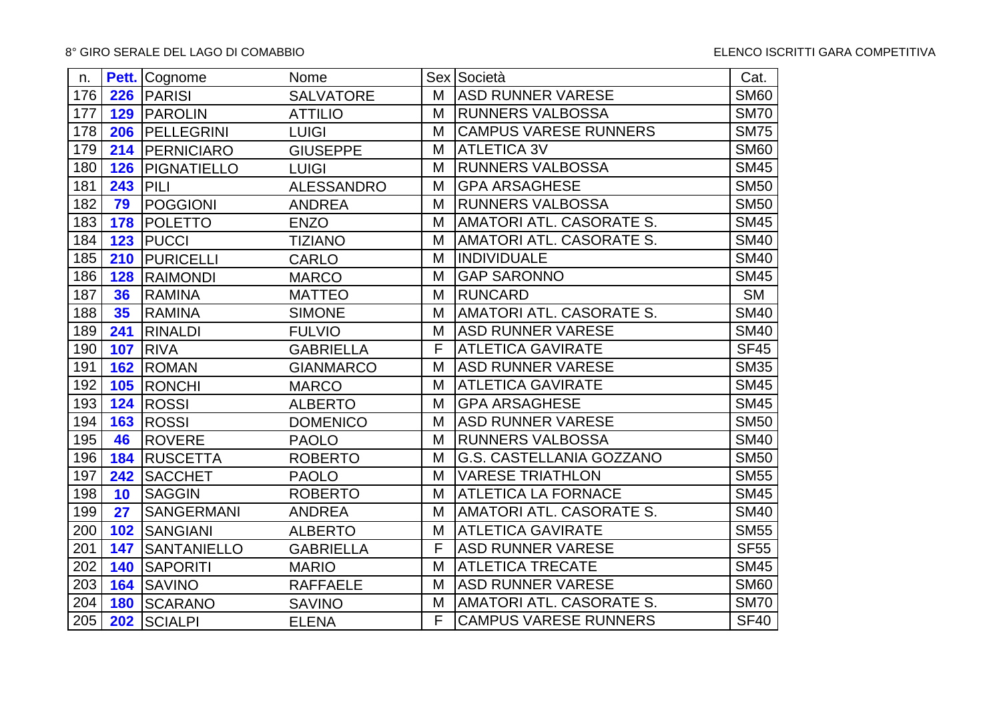| n.  |     | Pett. Cognome            | Nome              |   | Sex Società                     | Cat.        |
|-----|-----|--------------------------|-------------------|---|---------------------------------|-------------|
| 176 |     | 226 PARISI               | <b>SALVATORE</b>  | M | <b>ASD RUNNER VARESE</b>        | <b>SM60</b> |
| 177 | 129 | <b>PAROLIN</b>           | <b>ATTILIO</b>    | M | <b>RUNNERS VALBOSSA</b>         | <b>SM70</b> |
| 178 |     | 206   PELLEGRINI         | <b>LUIGI</b>      | M | <b>CAMPUS VARESE RUNNERS</b>    | <b>SM75</b> |
| 179 |     | 214   PERNICIARO         | <b>GIUSEPPE</b>   | M | <b>ATLETICA 3V</b>              | <b>SM60</b> |
| 180 |     | <b>126   PIGNATIELLO</b> | <b>LUIGI</b>      | M | <b>RUNNERS VALBOSSA</b>         | <b>SM45</b> |
| 181 | 243 | PILI                     | <b>ALESSANDRO</b> | M | <b>GPA ARSAGHESE</b>            | <b>SM50</b> |
| 182 | 79  | <b>POGGIONI</b>          | <b>ANDREA</b>     | M | <b>RUNNERS VALBOSSA</b>         | <b>SM50</b> |
| 183 | 178 | <b>POLETTO</b>           | <b>ENZO</b>       | M | AMATORI ATL. CASORATE S.        | <b>SM45</b> |
| 184 | 123 | <b>PUCCI</b>             | <b>TIZIANO</b>    | M | <b>AMATORI ATL. CASORATE S.</b> | <b>SM40</b> |
| 185 | 210 | <b>PURICELLI</b>         | <b>CARLO</b>      | M | <b>INDIVIDUALE</b>              | <b>SM40</b> |
| 186 | 128 | <b>RAIMONDI</b>          | <b>MARCO</b>      | M | <b>GAP SARONNO</b>              | <b>SM45</b> |
| 187 | 36  | <b>RAMINA</b>            | <b>MATTEO</b>     | M | <b>RUNCARD</b>                  | <b>SM</b>   |
| 188 | 35  | <b>RAMINA</b>            | <b>SIMONE</b>     | M | AMATORI ATL. CASORATE S.        | <b>SM40</b> |
| 189 | 241 | RINALDI                  | <b>FULVIO</b>     | M | <b>ASD RUNNER VARESE</b>        | <b>SM40</b> |
| 190 | 107 | <b>RIVA</b>              | <b>GABRIELLA</b>  | F | <b>ATLETICA GAVIRATE</b>        | <b>SF45</b> |
| 191 | 162 | <b>ROMAN</b>             | <b>GIANMARCO</b>  | M | <b>ASD RUNNER VARESE</b>        | <b>SM35</b> |
| 192 | 105 | <b>RONCHI</b>            | <b>MARCO</b>      | M | <b>ATLETICA GAVIRATE</b>        | <b>SM45</b> |
| 193 | 124 | <b>ROSSI</b>             | <b>ALBERTO</b>    | M | <b>GPA ARSAGHESE</b>            | <b>SM45</b> |
| 194 | 163 | <b>ROSSI</b>             | <b>DOMENICO</b>   | M | <b>ASD RUNNER VARESE</b>        | <b>SM50</b> |
| 195 | 46  | ROVERE                   | <b>PAOLO</b>      | M | <b>RUNNERS VALBOSSA</b>         | <b>SM40</b> |
| 196 | 184 | <b>RUSCETTA</b>          | <b>ROBERTO</b>    | M | G.S. CASTELLANIA GOZZANO        | <b>SM50</b> |
| 197 | 242 | <b>SACCHET</b>           | <b>PAOLO</b>      | M | <b>VARESE TRIATHLON</b>         | <b>SM55</b> |
| 198 | 10  | <b>SAGGIN</b>            | <b>ROBERTO</b>    | M | <b>ATLETICA LA FORNACE</b>      | <b>SM45</b> |
| 199 | 27  | <b>SANGERMANI</b>        | <b>ANDREA</b>     | M | <b>AMATORI ATL. CASORATE S.</b> | <b>SM40</b> |
| 200 | 102 | <b>SANGIANI</b>          | <b>ALBERTO</b>    | M | <b>ATLETICA GAVIRATE</b>        | <b>SM55</b> |
| 201 | 147 | <b>SANTANIELLO</b>       | <b>GABRIELLA</b>  | F | <b>ASD RUNNER VARESE</b>        | <b>SF55</b> |
| 202 | 140 | <b>SAPORITI</b>          | <b>MARIO</b>      | M | <b>ATLETICA TRECATE</b>         | <b>SM45</b> |
| 203 | 164 | <b>SAVINO</b>            | <b>RAFFAELE</b>   | M | <b>ASD RUNNER VARESE</b>        | <b>SM60</b> |
| 204 | 180 | SCARANO                  | <b>SAVINO</b>     | M | AMATORI ATL. CASORATE S.        | <b>SM70</b> |
| 205 | 202 | <b>SCIALPI</b>           | <b>ELENA</b>      | F | <b>CAMPUS VARESE RUNNERS</b>    | <b>SF40</b> |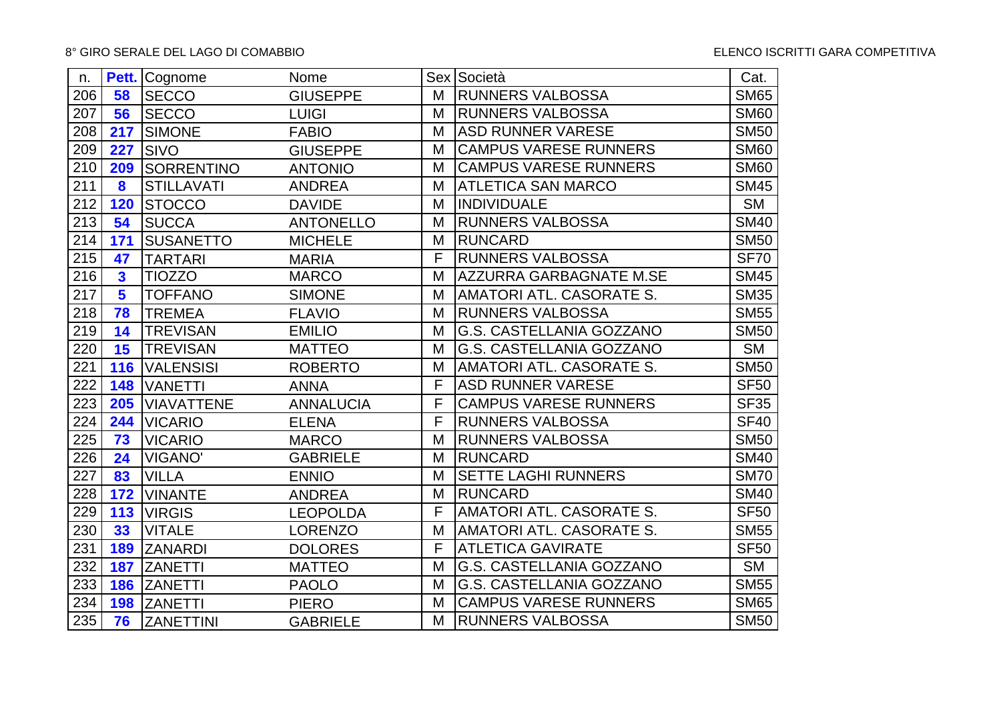| n.  |                         | Pett. Cognome     | Nome             |   | Sex Società                  | Cat.        |
|-----|-------------------------|-------------------|------------------|---|------------------------------|-------------|
| 206 | 58                      | <b>SECCO</b>      | <b>GIUSEPPE</b>  | M | <b>RUNNERS VALBOSSA</b>      | <b>SM65</b> |
| 207 | 56                      | <b>SECCO</b>      | <b>LUIGI</b>     | M | <b>RUNNERS VALBOSSA</b>      | <b>SM60</b> |
| 208 | 217                     | <b>SIMONE</b>     | <b>FABIO</b>     | M | <b>ASD RUNNER VARESE</b>     | <b>SM50</b> |
| 209 | 227                     | <b>SIVO</b>       | <b>GIUSEPPE</b>  | M | <b>CAMPUS VARESE RUNNERS</b> | <b>SM60</b> |
| 210 | 209                     | <b>SORRENTINO</b> | <b>ANTONIO</b>   | M | <b>CAMPUS VARESE RUNNERS</b> | <b>SM60</b> |
| 211 | 8                       | <b>STILLAVATI</b> | <b>ANDREA</b>    | M | <b>ATLETICA SAN MARCO</b>    | <b>SM45</b> |
| 212 | 120                     | <b>STOCCO</b>     | <b>DAVIDE</b>    | M | <b>INDIVIDUALE</b>           | <b>SM</b>   |
| 213 | 54                      | <b>SUCCA</b>      | <b>ANTONELLO</b> | M | <b>RUNNERS VALBOSSA</b>      | <b>SM40</b> |
| 214 | 171                     | <b>SUSANETTO</b>  | <b>MICHELE</b>   | M | <b>RUNCARD</b>               | <b>SM50</b> |
| 215 | 47                      | <b>TARTARI</b>    | <b>MARIA</b>     | F | <b>RUNNERS VALBOSSA</b>      | <b>SF70</b> |
| 216 | $\overline{\mathbf{3}}$ | <b>TIOZZO</b>     | <b>MARCO</b>     | M | AZZURRA GARBAGNATE M.SE      | <b>SM45</b> |
| 217 | 5                       | <b>TOFFANO</b>    | <b>SIMONE</b>    | M | AMATORI ATL. CASORATE S.     | <b>SM35</b> |
| 218 | 78                      | <b>TREMEA</b>     | <b>FLAVIO</b>    | M | <b>RUNNERS VALBOSSA</b>      | <b>SM55</b> |
| 219 | 14                      | <b>TREVISAN</b>   | <b>EMILIO</b>    | M | G.S. CASTELLANIA GOZZANO     | <b>SM50</b> |
| 220 | 15                      | <b>TREVISAN</b>   | <b>MATTEO</b>    | M | G.S. CASTELLANIA GOZZANO     | <b>SM</b>   |
| 221 | 116                     | <b>VALENSISI</b>  | <b>ROBERTO</b>   | M | AMATORI ATL. CASORATE S.     | <b>SM50</b> |
| 222 | 148                     | <b>VANETTI</b>    | <b>ANNA</b>      | F | <b>ASD RUNNER VARESE</b>     | <b>SF50</b> |
| 223 | 205                     | <b>VIAVATTENE</b> | <b>ANNALUCIA</b> | F | <b>CAMPUS VARESE RUNNERS</b> | <b>SF35</b> |
| 224 | 244                     | <b>VICARIO</b>    | <b>ELENA</b>     | F | <b>RUNNERS VALBOSSA</b>      | <b>SF40</b> |
| 225 | 73                      | <b>VICARIO</b>    | <b>MARCO</b>     | M | <b>RUNNERS VALBOSSA</b>      | <b>SM50</b> |
| 226 | 24                      | <b>VIGANO'</b>    | <b>GABRIELE</b>  | M | <b>RUNCARD</b>               | <b>SM40</b> |
| 227 | 83                      | <b>VILLA</b>      | <b>ENNIO</b>     | M | SETTE LAGHI RUNNERS          | <b>SM70</b> |
| 228 | 172                     | <b>VINANTE</b>    | <b>ANDREA</b>    | M | <b>RUNCARD</b>               | <b>SM40</b> |
| 229 | 113                     | <b>VIRGIS</b>     | <b>LEOPOLDA</b>  | F | AMATORI ATL. CASORATE S.     | <b>SF50</b> |
| 230 | 33                      | <b>VITALE</b>     | <b>LORENZO</b>   | M | AMATORI ATL. CASORATE S.     | <b>SM55</b> |
| 231 | 189                     | <b>ZANARDI</b>    | <b>DOLORES</b>   | F | <b>ATLETICA GAVIRATE</b>     | <b>SF50</b> |
| 232 | 187                     | <b>ZANETTI</b>    | <b>MATTEO</b>    | M | G.S. CASTELLANIA GOZZANO     | <b>SM</b>   |
| 233 | 186                     | <b>ZANETTI</b>    | <b>PAOLO</b>     | M | G.S. CASTELLANIA GOZZANO     | <b>SM55</b> |
| 234 | 198                     | <b>ZANETTI</b>    | <b>PIERO</b>     | M | <b>CAMPUS VARESE RUNNERS</b> | <b>SM65</b> |
| 235 | 76                      | <b>ZANETTINI</b>  | <b>GABRIELE</b>  | M | <b>RUNNERS VALBOSSA</b>      | <b>SM50</b> |